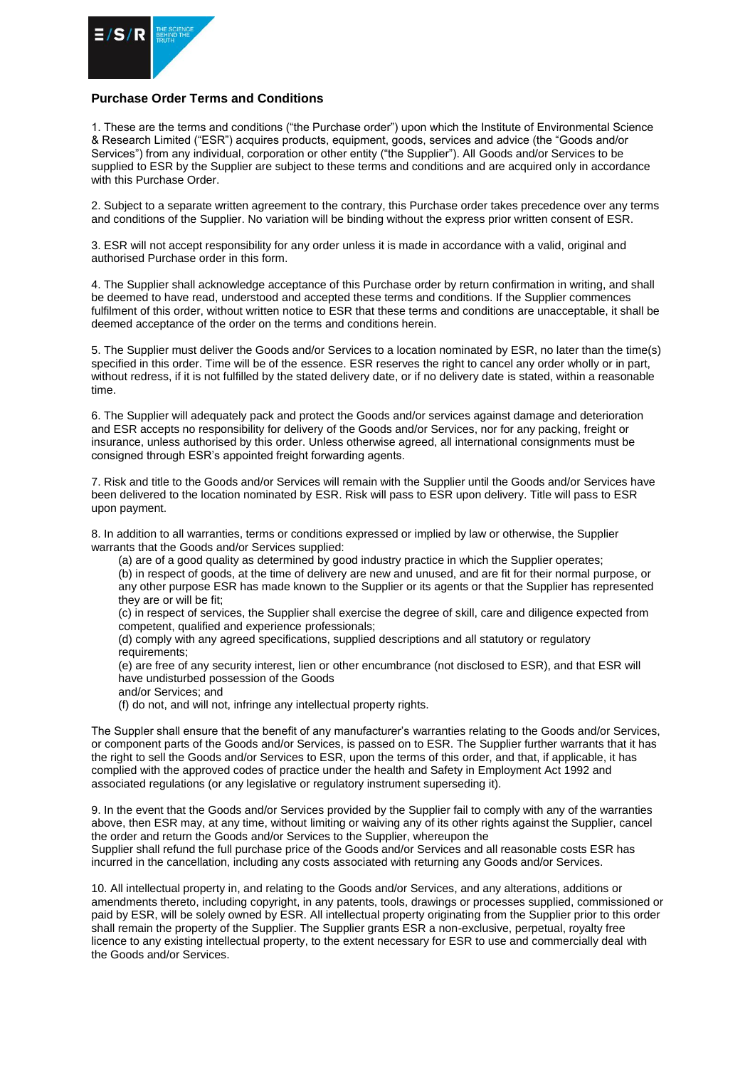

## **Purchase Order Terms and Conditions**

1. These are the terms and conditions ("the Purchase order") upon which the Institute of Environmental Science & Research Limited ("ESR") acquires products, equipment, goods, services and advice (the "Goods and/or Services") from any individual, corporation or other entity ("the Supplier"). All Goods and/or Services to be supplied to ESR by the Supplier are subject to these terms and conditions and are acquired only in accordance with this Purchase Order.

2. Subject to a separate written agreement to the contrary, this Purchase order takes precedence over any terms and conditions of the Supplier. No variation will be binding without the express prior written consent of ESR.

3. ESR will not accept responsibility for any order unless it is made in accordance with a valid, original and authorised Purchase order in this form.

4. The Supplier shall acknowledge acceptance of this Purchase order by return confirmation in writing, and shall be deemed to have read, understood and accepted these terms and conditions. If the Supplier commences fulfilment of this order, without written notice to ESR that these terms and conditions are unacceptable, it shall be deemed acceptance of the order on the terms and conditions herein.

5. The Supplier must deliver the Goods and/or Services to a location nominated by ESR, no later than the time(s) specified in this order. Time will be of the essence. ESR reserves the right to cancel any order wholly or in part, without redress, if it is not fulfilled by the stated delivery date, or if no delivery date is stated, within a reasonable time.

6. The Supplier will adequately pack and protect the Goods and/or services against damage and deterioration and ESR accepts no responsibility for delivery of the Goods and/or Services, nor for any packing, freight or insurance, unless authorised by this order. Unless otherwise agreed, all international consignments must be consigned through ESR's appointed freight forwarding agents.

7. Risk and title to the Goods and/or Services will remain with the Supplier until the Goods and/or Services have been delivered to the location nominated by ESR. Risk will pass to ESR upon delivery. Title will pass to ESR upon payment.

8. In addition to all warranties, terms or conditions expressed or implied by law or otherwise, the Supplier warrants that the Goods and/or Services supplied:

(a) are of a good quality as determined by good industry practice in which the Supplier operates;

(b) in respect of goods, at the time of delivery are new and unused, and are fit for their normal purpose, or any other purpose ESR has made known to the Supplier or its agents or that the Supplier has represented they are or will be fit;

(c) in respect of services, the Supplier shall exercise the degree of skill, care and diligence expected from competent, qualified and experience professionals;

(d) comply with any agreed specifications, supplied descriptions and all statutory or regulatory requirements;

(e) are free of any security interest, lien or other encumbrance (not disclosed to ESR), and that ESR will have undisturbed possession of the Goods

and/or Services; and

(f) do not, and will not, infringe any intellectual property rights.

The Suppler shall ensure that the benefit of any manufacturer's warranties relating to the Goods and/or Services, or component parts of the Goods and/or Services, is passed on to ESR. The Supplier further warrants that it has the right to sell the Goods and/or Services to ESR, upon the terms of this order, and that, if applicable, it has complied with the approved codes of practice under the health and Safety in Employment Act 1992 and associated regulations (or any legislative or regulatory instrument superseding it).

9. In the event that the Goods and/or Services provided by the Supplier fail to comply with any of the warranties above, then ESR may, at any time, without limiting or waiving any of its other rights against the Supplier, cancel the order and return the Goods and/or Services to the Supplier, whereupon the Supplier shall refund the full purchase price of the Goods and/or Services and all reasonable costs ESR has incurred in the cancellation, including any costs associated with returning any Goods and/or Services.

10. All intellectual property in, and relating to the Goods and/or Services, and any alterations, additions or amendments thereto, including copyright, in any patents, tools, drawings or processes supplied, commissioned or paid by ESR, will be solely owned by ESR. All intellectual property originating from the Supplier prior to this order shall remain the property of the Supplier. The Supplier grants ESR a non-exclusive, perpetual, royalty free licence to any existing intellectual property, to the extent necessary for ESR to use and commercially deal with the Goods and/or Services.